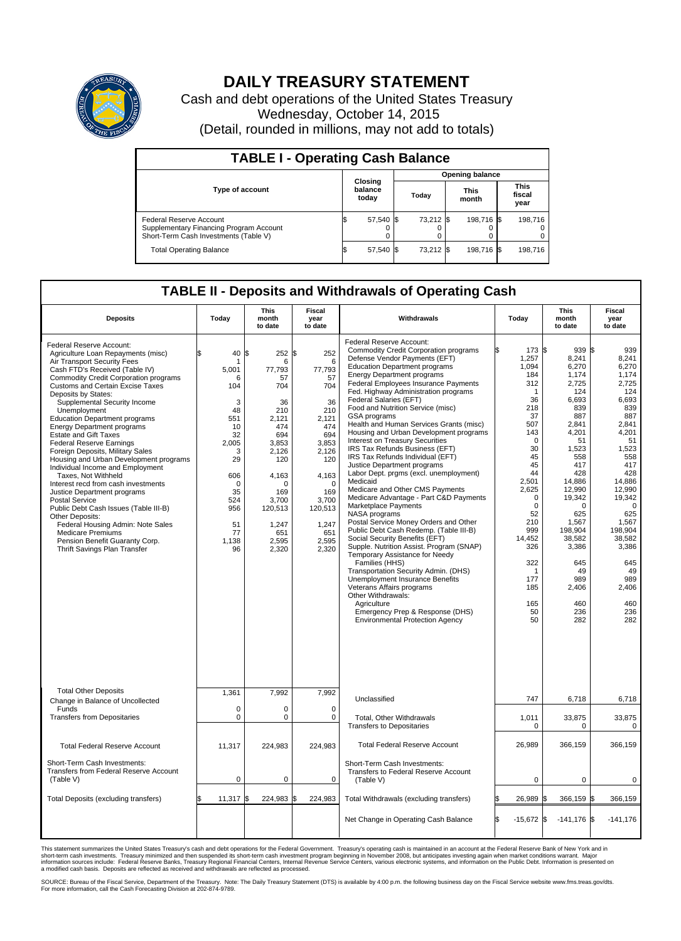

## **DAILY TREASURY STATEMENT**

Cash and debt operations of the United States Treasury Wednesday, October 14, 2015 (Detail, rounded in millions, may not add to totals)

| <b>TABLE I - Operating Cash Balance</b>                                                                     |    |                             |  |                        |  |                      |  |                               |  |  |  |
|-------------------------------------------------------------------------------------------------------------|----|-----------------------------|--|------------------------|--|----------------------|--|-------------------------------|--|--|--|
|                                                                                                             |    |                             |  | <b>Opening balance</b> |  |                      |  |                               |  |  |  |
| <b>Type of account</b>                                                                                      |    | Closing<br>balance<br>today |  | Today                  |  | <b>This</b><br>month |  | <b>This</b><br>fiscal<br>year |  |  |  |
| Federal Reserve Account<br>Supplementary Financing Program Account<br>Short-Term Cash Investments (Table V) |    | 57,540 \$                   |  | 73.212 \$              |  | 198.716 \$           |  | 198,716                       |  |  |  |
| <b>Total Operating Balance</b>                                                                              | ß. | 57,540 \$                   |  | 73,212 \$              |  | 198,716 \$           |  | 198.716                       |  |  |  |

## **TABLE II - Deposits and Withdrawals of Operating Cash**

| <b>Deposits</b>                                                                                                                                                                                                                                                                                                                                                                                                                                                                                                                                                                                                                                                                                                                                                                                                                                                                          | Today                                                                                                                                             | <b>This</b><br>month<br>to date                                                                                                                                                         | Fiscal<br>year<br>to date                                                                                                                                                      | Withdrawals                                                                                                                                                                                                                                                                                                                                                                                                                                                                                                                                                                                                                                                                                                                                                                                                                                                                                                                                                                                                                                                                                                                                                                                                          | Today                                                                                                                                                                                                                                                       | <b>This</b><br>month<br>to date                                                                                                                                                                                                                                                       | Fiscal<br>year<br>to date                                                                                                                                                                                                                                             |
|------------------------------------------------------------------------------------------------------------------------------------------------------------------------------------------------------------------------------------------------------------------------------------------------------------------------------------------------------------------------------------------------------------------------------------------------------------------------------------------------------------------------------------------------------------------------------------------------------------------------------------------------------------------------------------------------------------------------------------------------------------------------------------------------------------------------------------------------------------------------------------------|---------------------------------------------------------------------------------------------------------------------------------------------------|-----------------------------------------------------------------------------------------------------------------------------------------------------------------------------------------|--------------------------------------------------------------------------------------------------------------------------------------------------------------------------------|----------------------------------------------------------------------------------------------------------------------------------------------------------------------------------------------------------------------------------------------------------------------------------------------------------------------------------------------------------------------------------------------------------------------------------------------------------------------------------------------------------------------------------------------------------------------------------------------------------------------------------------------------------------------------------------------------------------------------------------------------------------------------------------------------------------------------------------------------------------------------------------------------------------------------------------------------------------------------------------------------------------------------------------------------------------------------------------------------------------------------------------------------------------------------------------------------------------------|-------------------------------------------------------------------------------------------------------------------------------------------------------------------------------------------------------------------------------------------------------------|---------------------------------------------------------------------------------------------------------------------------------------------------------------------------------------------------------------------------------------------------------------------------------------|-----------------------------------------------------------------------------------------------------------------------------------------------------------------------------------------------------------------------------------------------------------------------|
| Federal Reserve Account:<br>Agriculture Loan Repayments (misc)<br>Air Transport Security Fees<br>Cash FTD's Received (Table IV)<br><b>Commodity Credit Corporation programs</b><br><b>Customs and Certain Excise Taxes</b><br>Deposits by States:<br>Supplemental Security Income<br>Unemployment<br><b>Education Department programs</b><br><b>Energy Department programs</b><br><b>Estate and Gift Taxes</b><br><b>Federal Reserve Earnings</b><br>Foreign Deposits, Military Sales<br>Housing and Urban Development programs<br>Individual Income and Employment<br>Taxes, Not Withheld<br>Interest recd from cash investments<br>Justice Department programs<br><b>Postal Service</b><br>Public Debt Cash Issues (Table III-B)<br>Other Deposits:<br>Federal Housing Admin: Note Sales<br><b>Medicare Premiums</b><br>Pension Benefit Guaranty Corp.<br>Thrift Savings Plan Transfer | \$<br>40<br>5.001<br>6<br>104<br>3<br>48<br>551<br>10<br>32<br>2,005<br>3<br>29<br>606<br>$\Omega$<br>35<br>524<br>956<br>51<br>77<br>1.138<br>96 | \$<br>252 \$<br>6<br>77.793<br>57<br>704<br>36<br>210<br>2.121<br>474<br>694<br>3,853<br>2,126<br>120<br>4,163<br>$\Omega$<br>169<br>3,700<br>120,513<br>1,247<br>651<br>2,595<br>2,320 | 252<br>6<br>77,793<br>57<br>704<br>36<br>210<br>2.121<br>474<br>694<br>3,853<br>2,126<br>120<br>4,163<br>$\Omega$<br>169<br>3,700<br>120,513<br>1,247<br>651<br>2,595<br>2,320 | Federal Reserve Account:<br><b>Commodity Credit Corporation programs</b><br>Defense Vendor Payments (EFT)<br><b>Education Department programs</b><br><b>Energy Department programs</b><br>Federal Employees Insurance Payments<br>Fed. Highway Administration programs<br>Federal Salaries (EFT)<br>Food and Nutrition Service (misc)<br>GSA programs<br>Health and Human Services Grants (misc)<br>Housing and Urban Development programs<br>Interest on Treasury Securities<br>IRS Tax Refunds Business (EFT)<br>IRS Tax Refunds Individual (EFT)<br>Justice Department programs<br>Labor Dept. prgms (excl. unemployment)<br>Medicaid<br>Medicare and Other CMS Payments<br>Medicare Advantage - Part C&D Payments<br>Marketplace Payments<br><b>NASA</b> programs<br>Postal Service Money Orders and Other<br>Public Debt Cash Redemp. (Table III-B)<br>Social Security Benefits (EFT)<br>Supple. Nutrition Assist. Program (SNAP)<br>Temporary Assistance for Needy<br>Families (HHS)<br>Transportation Security Admin. (DHS)<br>Unemployment Insurance Benefits<br>Veterans Affairs programs<br>Other Withdrawals:<br>Agriculture<br>Emergency Prep & Response (DHS)<br><b>Environmental Protection Agency</b> | 173 \$<br>l\$<br>1,257<br>1.094<br>184<br>312<br>-1<br>36<br>218<br>37<br>507<br>143<br>$\mathbf 0$<br>30<br>45<br>45<br>44<br>2,501<br>2,625<br>$\mathbf 0$<br>$\Omega$<br>52<br>210<br>999<br>14,452<br>326<br>322<br>-1<br>177<br>185<br>165<br>50<br>50 | $939$ $\frac{1}{3}$<br>8,241<br>6,270<br>1,174<br>2,725<br>124<br>6,693<br>839<br>887<br>2,841<br>4,201<br>51<br>1,523<br>558<br>417<br>428<br>14,886<br>12,990<br>19,342<br>$\Omega$<br>625<br>1,567<br>198.904<br>38,582<br>3,386<br>645<br>49<br>989<br>2,406<br>460<br>236<br>282 | 939<br>8,241<br>6,270<br>1.174<br>2,725<br>124<br>6,693<br>839<br>887<br>2.841<br>4,201<br>51<br>1,523<br>558<br>417<br>428<br>14,886<br>12,990<br>19,342<br>$\Omega$<br>625<br>1,567<br>198.904<br>38,582<br>3,386<br>645<br>49<br>989<br>2,406<br>460<br>236<br>282 |
| <b>Total Other Deposits</b><br>Change in Balance of Uncollected                                                                                                                                                                                                                                                                                                                                                                                                                                                                                                                                                                                                                                                                                                                                                                                                                          | 1,361                                                                                                                                             | 7,992                                                                                                                                                                                   | 7,992                                                                                                                                                                          | Unclassified                                                                                                                                                                                                                                                                                                                                                                                                                                                                                                                                                                                                                                                                                                                                                                                                                                                                                                                                                                                                                                                                                                                                                                                                         | 747                                                                                                                                                                                                                                                         | 6,718                                                                                                                                                                                                                                                                                 | 6,718                                                                                                                                                                                                                                                                 |
| Funds<br><b>Transfers from Depositaries</b>                                                                                                                                                                                                                                                                                                                                                                                                                                                                                                                                                                                                                                                                                                                                                                                                                                              | $\mathbf 0$<br>0                                                                                                                                  | $\mathbf 0$<br>$\pmb{0}$                                                                                                                                                                | $\mathbf 0$<br>0                                                                                                                                                               | Total, Other Withdrawals<br><b>Transfers to Depositaries</b>                                                                                                                                                                                                                                                                                                                                                                                                                                                                                                                                                                                                                                                                                                                                                                                                                                                                                                                                                                                                                                                                                                                                                         | 1,011<br>0                                                                                                                                                                                                                                                  | 33,875<br>$\mathbf 0$                                                                                                                                                                                                                                                                 | 33,875<br>0                                                                                                                                                                                                                                                           |
| <b>Total Federal Reserve Account</b>                                                                                                                                                                                                                                                                                                                                                                                                                                                                                                                                                                                                                                                                                                                                                                                                                                                     | 11,317                                                                                                                                            | 224,983                                                                                                                                                                                 | 224,983                                                                                                                                                                        | <b>Total Federal Reserve Account</b>                                                                                                                                                                                                                                                                                                                                                                                                                                                                                                                                                                                                                                                                                                                                                                                                                                                                                                                                                                                                                                                                                                                                                                                 | 26,989                                                                                                                                                                                                                                                      | 366,159                                                                                                                                                                                                                                                                               | 366,159                                                                                                                                                                                                                                                               |
| Short-Term Cash Investments:<br><b>Transfers from Federal Reserve Account</b><br>(Table V)                                                                                                                                                                                                                                                                                                                                                                                                                                                                                                                                                                                                                                                                                                                                                                                               | 0                                                                                                                                                 | $\pmb{0}$                                                                                                                                                                               | 0                                                                                                                                                                              | Short-Term Cash Investments:<br>Transfers to Federal Reserve Account<br>(Table V)                                                                                                                                                                                                                                                                                                                                                                                                                                                                                                                                                                                                                                                                                                                                                                                                                                                                                                                                                                                                                                                                                                                                    | $\mathbf 0$                                                                                                                                                                                                                                                 | $\mathbf 0$                                                                                                                                                                                                                                                                           | 0                                                                                                                                                                                                                                                                     |
| Total Deposits (excluding transfers)                                                                                                                                                                                                                                                                                                                                                                                                                                                                                                                                                                                                                                                                                                                                                                                                                                                     | 11,317                                                                                                                                            | 224,983 \$<br>\$                                                                                                                                                                        | 224,983                                                                                                                                                                        | Total Withdrawals (excluding transfers)                                                                                                                                                                                                                                                                                                                                                                                                                                                                                                                                                                                                                                                                                                                                                                                                                                                                                                                                                                                                                                                                                                                                                                              | 26,989                                                                                                                                                                                                                                                      | 366,159 \$                                                                                                                                                                                                                                                                            | 366,159                                                                                                                                                                                                                                                               |
|                                                                                                                                                                                                                                                                                                                                                                                                                                                                                                                                                                                                                                                                                                                                                                                                                                                                                          |                                                                                                                                                   |                                                                                                                                                                                         |                                                                                                                                                                                | Net Change in Operating Cash Balance                                                                                                                                                                                                                                                                                                                                                                                                                                                                                                                                                                                                                                                                                                                                                                                                                                                                                                                                                                                                                                                                                                                                                                                 | l\$<br>$-15,672$                                                                                                                                                                                                                                            | l\$<br>$-141,176$ \$                                                                                                                                                                                                                                                                  | $-141,176$                                                                                                                                                                                                                                                            |

This statement summarizes the United States Treasury's cash and debt operations for the Federal Government. Treasury's operating cash is maintained in an account at the Federal Reserve Bank of New York and in<br>short-term ca

SOURCE: Bureau of the Fiscal Service, Department of the Treasury. Note: The Daily Treasury Statement (DTS) is available by 4:00 p.m. the following business day on the Fiscal Service website www.fms.treas.gov/dts.<br>For more